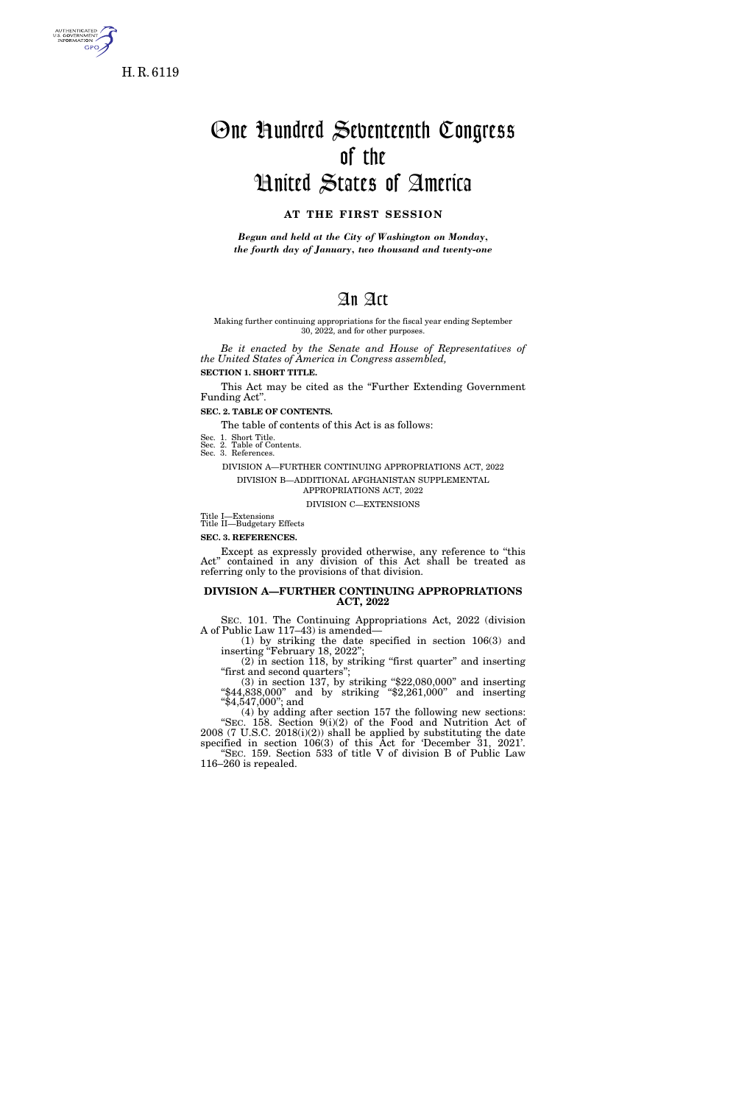

5. GOVERNME<br>INFORMATION **GPO** 

# One Hundred Seventeenth Congress of the United States of America

## **AT THE FIRST SESSION**

*Begun and held at the City of Washington on Monday, the fourth day of January, two thousand and twenty-one* 

## An Act

#### Making further continuing appropriations for the fiscal year ending September 30, 2022, and for other purposes.

*Be it enacted by the Senate and House of Representatives of the United States of America in Congress assembled,*  **SECTION 1. SHORT TITLE.** 

This Act may be cited as the "Further Extending Government"

Funding Act''. **SEC. 2. TABLE OF CONTENTS.** 

The table of contents of this Act is as follows:

Sec. 1. Short Title. Sec. 2. Table of Contents.

Sec. 3. References.

DIVISION A—FURTHER CONTINUING APPROPRIATIONS ACT, 2022 DIVISION B—ADDITIONAL AFGHANISTAN SUPPLEMENTAL APPROPRIATIONS ACT, 2022

DIVISION C—EXTENSIONS

Title I—Extensions Title II—Budgetary Effects

**SEC. 3. REFERENCES.** 

116–260 is repealed.

Except as expressly provided otherwise, any reference to ''this Act'' contained in any division of this Act shall be treated as referring only to the provisions of that division.

#### **DIVISION A—FURTHER CONTINUING APPROPRIATIONS ACT, 2022**

SEC. 101. The Continuing Appropriations Act, 2022 (division A of Public Law 117–43) is amended—

(1) by striking the date specified in section 106(3) and inserting ''February 18, 2022'';  $(2)$  in section 118, by striking "first quarter" and inserting

''first and second quarters''; (3) in section 137, by striking ''\$22,080,000'' and inserting ''\$44,838,000'' and by striking ''\$2,261,000'' and inserting ''\$4,547,000''; and

(4) by adding after section 157 the following new sections: "SEC. 158. Section  $9(i)(2)$  of the Food and Nutrition Act of 2008 (7 U.S.C. 2018(i)(2)) shall be applied by substituting the date specified in section 106(3) of this Act for 'December 31, 2021'. ''SEC. 159. Section 533 of title V of division B of Public Law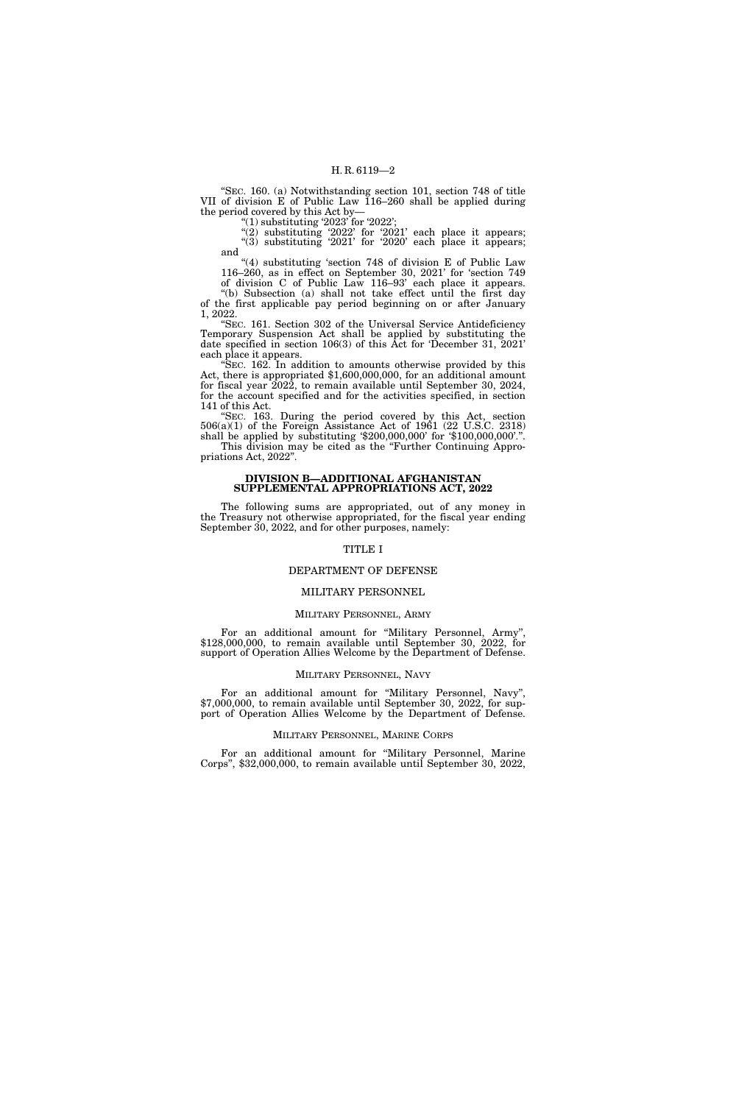''SEC. 160. (a) Notwithstanding section 101, section 748 of title VII of division E of Public Law 116–260 shall be applied during the period covered by this Act by—

"(1) substituting '2023' for '2022';

"(2) substituting '2022' for '2021' each place it appears; "(3) substituting  $2021'$  for  $2020'$  each place it appears; and

''(4) substituting 'section 748 of division E of Public Law 116–260, as in effect on September 30, 2021' for 'section 749

of division C of Public Law 116–93' each place it appears. ''(b) Subsection (a) shall not take effect until the first day of the first applicable pay period beginning on or after January 1, 2022.

''SEC. 161. Section 302 of the Universal Service Antideficiency Temporary Suspension Act shall be applied by substituting the date specified in section 106(3) of this Act for 'December 31, 2021' each place it appears.

''SEC. 162. In addition to amounts otherwise provided by this Act, there is appropriated \$1,600,000,000, for an additional amount for fiscal year 2022, to remain available until September 30, 2024, for the account specified and for the activities specified, in section 141 of this Act.

''SEC. 163. During the period covered by this Act, section 506(a)(1) of the Foreign Assistance Act of 1961 (22 U.S.C. 2318) shall be applied by substituting '\$200,000,000' for '\$100,000,000'.''. This division may be cited as the ''Further Continuing Appropriations Act, 2022''.

#### **DIVISION B—ADDITIONAL AFGHANISTAN SUPPLEMENTAL APPROPRIATIONS ACT, 2022**

The following sums are appropriated, out of any money in the Treasury not otherwise appropriated, for the fiscal year ending September 30, 2022, and for other purposes, namely:

## TITLE I

#### DEPARTMENT OF DEFENSE

#### MILITARY PERSONNEL

#### MILITARY PERSONNEL, ARMY

For an additional amount for ''Military Personnel, Army'', \$128,000,000, to remain available until September 30, 2022, for support of Operation Allies Welcome by the Department of Defense.

#### MILITARY PERSONNEL, NAVY

For an additional amount for ''Military Personnel, Navy'', \$7,000,000, to remain available until September 30, 2022, for support of Operation Allies Welcome by the Department of Defense.

#### MILITARY PERSONNEL, MARINE CORPS

For an additional amount for ''Military Personnel, Marine Corps'', \$32,000,000, to remain available until September 30, 2022,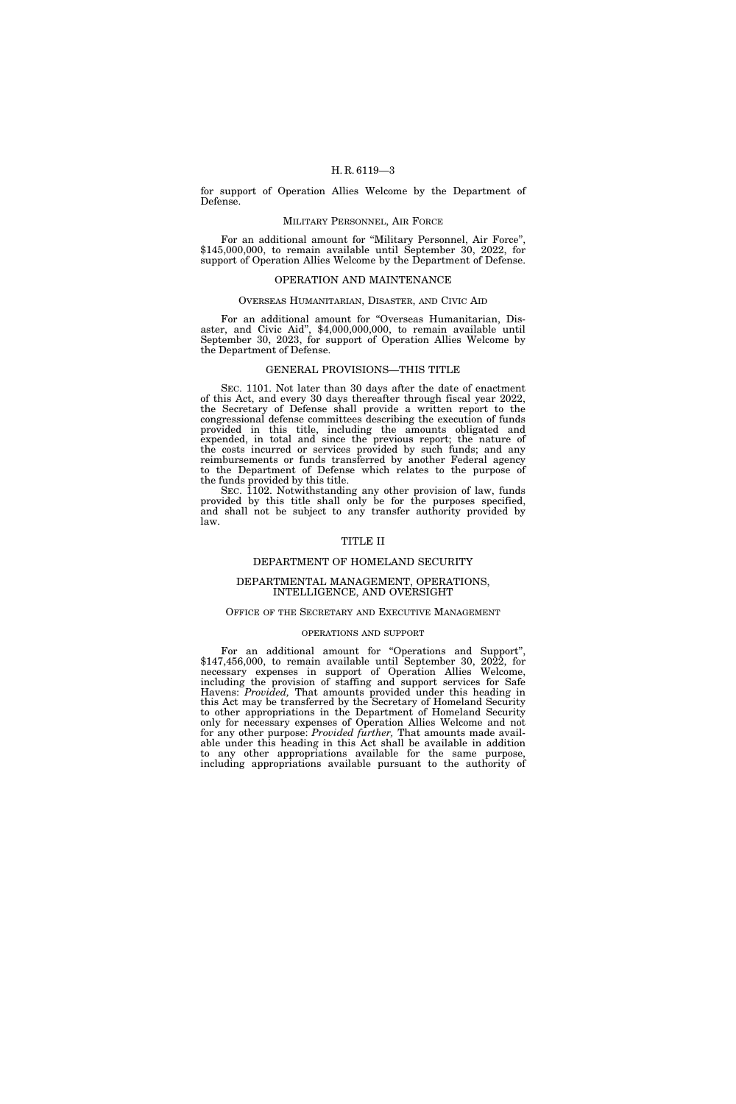for support of Operation Allies Welcome by the Department of Defense.

#### MILITARY PERSONNEL, AIR FORCE

For an additional amount for "Military Personnel, Air Force", \$145,000,000, to remain available until September 30, 2022, for support of Operation Allies Welcome by the Department of Defense.

## OPERATION AND MAINTENANCE

#### OVERSEAS HUMANITARIAN, DISASTER, AND CIVIC AID

For an additional amount for ''Overseas Humanitarian, Disaster, and Civic Aid'', \$4,000,000,000, to remain available until September 30, 2023, for support of Operation Allies Welcome by the Department of Defense.

#### GENERAL PROVISIONS—THIS TITLE

SEC. 1101. Not later than 30 days after the date of enactment of this Act, and every 30 days thereafter through fiscal year 2022, the Secretary of Defense shall provide a written report to the congressional defense committees describing the execution of funds provided in this title, including the amounts obligated and expended, in total and since the previous report; the nature of the costs incurred or services provided by such funds; and any reimbursements or funds transferred by another Federal agency to the Department of Defense which relates to the purpose of the funds provided by this title.

SEC. 1102. Notwithstanding any other provision of law, funds provided by this title shall only be for the purposes specified, and shall not be subject to any transfer authority provided by law.

## TITLE II

#### DEPARTMENT OF HOMELAND SECURITY

#### DEPARTMENTAL MANAGEMENT, OPERATIONS, INTELLIGENCE, AND OVERSIGHT

#### OFFICE OF THE SECRETARY AND EXECUTIVE MANAGEMENT

#### OPERATIONS AND SUPPORT

For an additional amount for "Operations and Support", \$147,456,000, to remain available until September 30, 2022, for necessary expenses in support of Operation Allies Welcome, including the provision of staffing and support services for Safe Havens: *Provided,* That amounts provided under this heading in this Act may be transferred by the Secretary of Homeland Security to other appropriations in the Department of Homeland Security only for necessary expenses of Operation Allies Welcome and not for any other purpose: *Provided further*, That amounts made available under this heading in this Act shall be available in addition to any other appropriations available for the same purpose, including appropriations available pursuant to the authority of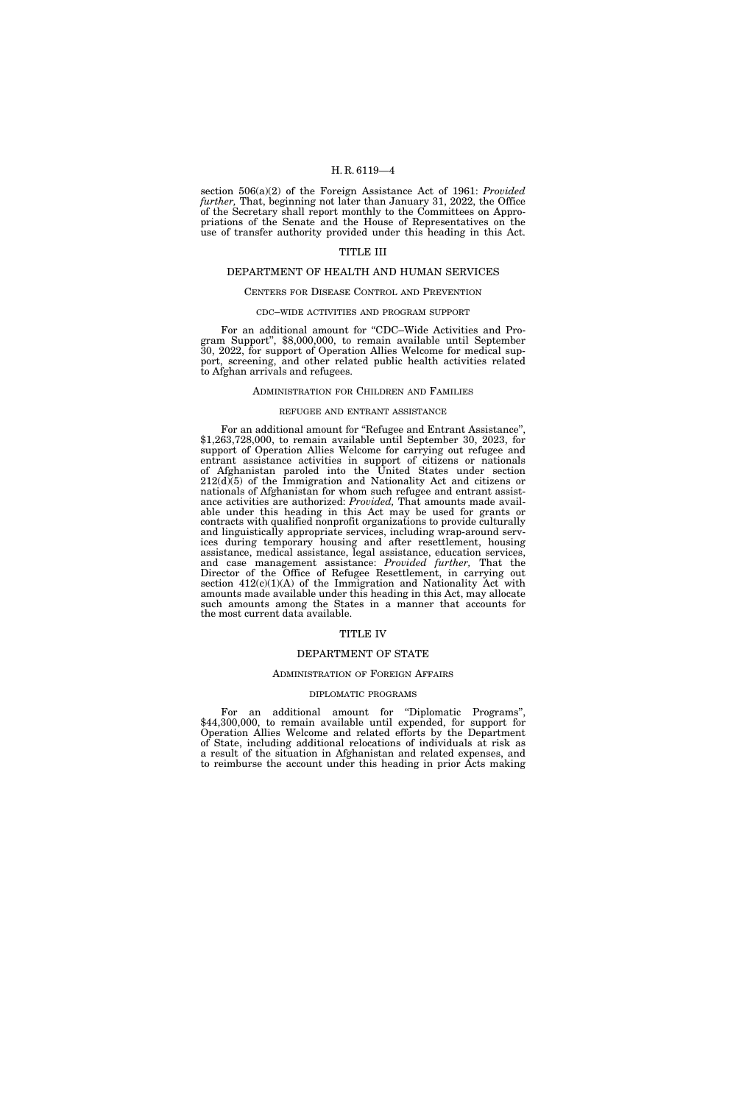section 506(a)(2) of the Foreign Assistance Act of 1961: *Provided further,* That, beginning not later than January 31, 2022, the Office of the Secretary shall report monthly to the Committees on Appropriations of the Senate and the House of Representatives on the use of transfer authority provided under this heading in this Act.

#### TITLE III

#### DEPARTMENT OF HEALTH AND HUMAN SERVICES

#### CENTERS FOR DISEASE CONTROL AND PREVENTION

#### CDC–WIDE ACTIVITIES AND PROGRAM SUPPORT

For an additional amount for "CDC–Wide Activities and Program Support'', \$8,000,000, to remain available until September 30, 2022, for support of Operation Allies Welcome for medical support, screening, and other related public health activities related to Afghan arrivals and refugees.

#### ADMINISTRATION FOR CHILDREN AND FAMILIES

## REFUGEE AND ENTRANT ASSISTANCE

For an additional amount for ''Refugee and Entrant Assistance'', \$1,263,728,000, to remain available until September 30, 2023, for support of Operation Allies Welcome for carrying out refugee and entrant assistance activities in support of citizens or nationals of Afghanistan paroled into the United States under section 212(d)(5) of the Immigration and Nationality Act and citizens or nationals of Afghanistan for whom such refugee and entrant assistance activities are authorized: *Provided,* That amounts made available under this heading in this Act may be used for grants or contracts with qualified nonprofit organizations to provide culturally and linguistically appropriate services, including wrap-around services during temporary housing and after resettlement, housing assistance, medical assistance, legal assistance, education services, and case management assistance: *Provided further,* That the Director of the Office of Refugee Resettlement, in carrying out section  $412(c)(1)(A)$  of the Immigration and Nationality Act with amounts made available under this heading in this Act, may allocate such amounts among the States in a manner that accounts for the most current data available.

#### TITLE IV

## DEPARTMENT OF STATE

#### ADMINISTRATION OF FOREIGN AFFAIRS

#### DIPLOMATIC PROGRAMS

For an additional amount for "Diplomatic Programs", \$44,300,000, to remain available until expended, for support for Operation Allies Welcome and related efforts by the Department of State, including additional relocations of individuals at risk as a result of the situation in Afghanistan and related expenses, and to reimburse the account under this heading in prior Acts making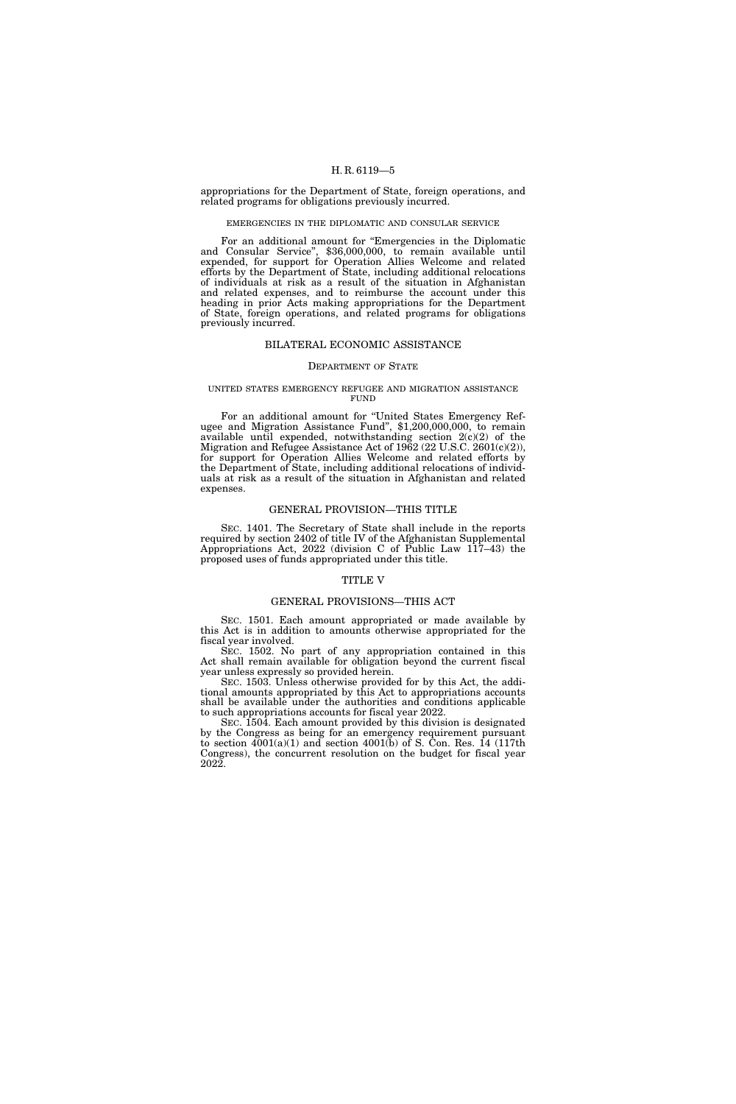appropriations for the Department of State, foreign operations, and related programs for obligations previously incurred.

#### EMERGENCIES IN THE DIPLOMATIC AND CONSULAR SERVICE

For an additional amount for "Emergencies in the Diplomatic and Consular Service'', \$36,000,000, to remain available until expended, for support for Operation Allies Welcome and related efforts by the Department of State, including additional relocations of individuals at risk as a result of the situation in Afghanistan and related expenses, and to reimburse the account under this heading in prior Acts making appropriations for the Department of State, foreign operations, and related programs for obligations previously incurred.

#### BILATERAL ECONOMIC ASSISTANCE

#### DEPARTMENT OF STATE

#### UNITED STATES EMERGENCY REFUGEE AND MIGRATION ASSISTANCE **FUND**

For an additional amount for "United States Emergency Ref-<br>ugee and Migration Assistance Fund", \$1,200,000,000, to remain available until expended, notwithstanding section 2(c)(2) of the Migration and Refugee Assistance Act of 1962 (22 U.S.C. 2601(c)(2)), for support for Operation Allies Welcome and related efforts by the Department of State, including additional relocations of individuals at risk as a result of the situation in Afghanistan and related expenses.

#### GENERAL PROVISION—THIS TITLE

SEC. 1401. The Secretary of State shall include in the reports required by section 2402 of title IV of the Afghanistan Supplemental Appropriations Act, 2022 (division C of Public Law 117–43) the proposed uses of funds appropriated under this title.

## TITLE V

#### GENERAL PROVISIONS—THIS ACT

SEC. 1501. Each amount appropriated or made available by this Act is in addition to amounts otherwise appropriated for the fiscal year involved.

SEC. 1502. No part of any appropriation contained in this Act shall remain available for obligation beyond the current fiscal year unless expressly so provided herein.

SEC. 1503. Unless otherwise provided for by this Act, the additional amounts appropriated by this Act to appropriations accounts shall be available under the authorities and conditions applicable to such appropriations accounts for fiscal year 2022.

SEC. 1504. Each amount provided by this division is designated by the Congress as being for an emergency requirement pursuant to section  $4001(a)(1)$  and section  $4001(b)$  of S. Con. Res. 14 (117th Congress), the concurrent resolution on the budget for fiscal year 2022.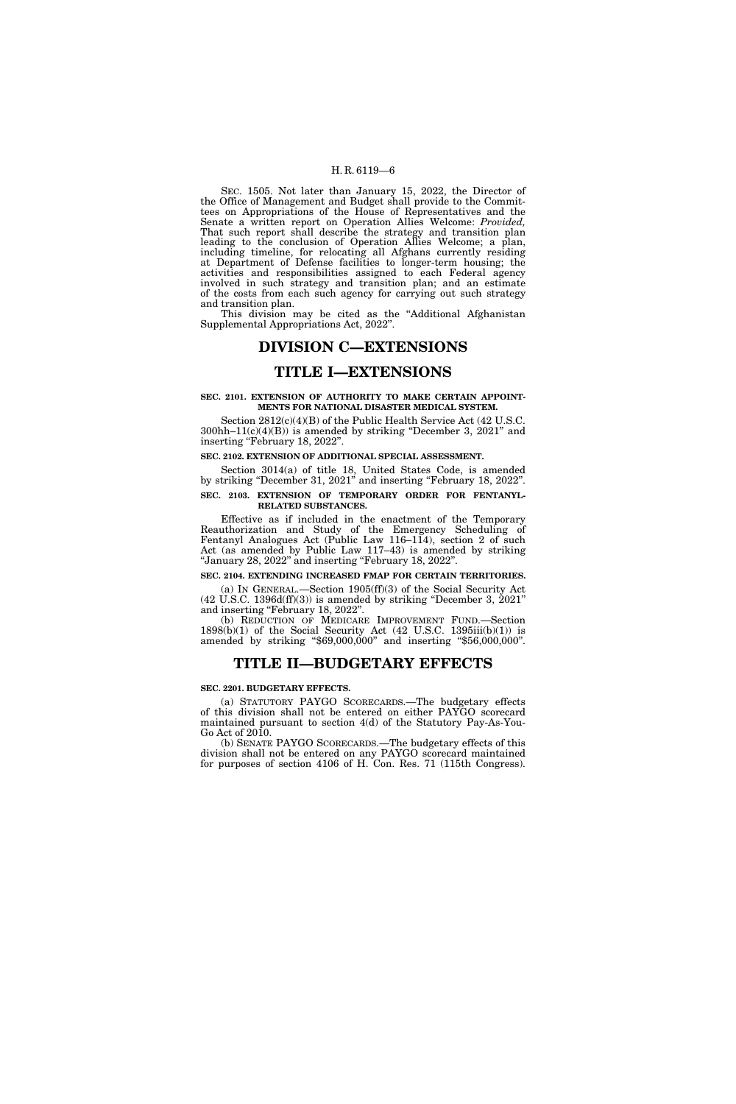SEC. 1505. Not later than January 15, 2022, the Director of the Office of Management and Budget shall provide to the Committees on Appropriations of the House of Representatives and the Senate a written report on Operation Allies Welcome: *Provided,*  That such report shall describe the strategy and transition plan leading to the conclusion of Operation Allies Welcome; a plan, including timeline, for relocating all Afghans currently residing at Department of Defense facilities to longer-term housing; the activities and responsibilities assigned to each Federal agency involved in such strategy and transition plan; and an estimate of the costs from each such agency for carrying out such strategy and transition plan.

This division may be cited as the ''Additional Afghanistan Supplemental Appropriations Act, 2022''.

## **DIVISION C—EXTENSIONS**

## **TITLE I—EXTENSIONS**

#### **SEC. 2101. EXTENSION OF AUTHORITY TO MAKE CERTAIN APPOINT-MENTS FOR NATIONAL DISASTER MEDICAL SYSTEM.**

Section 2812(c)(4)(B) of the Public Health Service Act (42 U.S.C.  $300hh-11(c)(4)(B)$ ) is amended by striking "December 3, 2021" and inserting "February 18, 2022".

#### **SEC. 2102. EXTENSION OF ADDITIONAL SPECIAL ASSESSMENT.**

Section 3014(a) of title 18, United States Code, is amended by striking ''December 31, 2021'' and inserting ''February 18, 2022''.

## **SEC. 2103. EXTENSION OF TEMPORARY ORDER FOR FENTANYL-RELATED SUBSTANCES.**

Effective as if included in the enactment of the Temporary Reauthorization and Study of the Emergency Scheduling of Fentanyl Analogues Act (Public Law 116–114), section 2 of such Act (as amended by Public Law 117–43) is amended by striking ''January 28, 2022'' and inserting ''February 18, 2022''.

#### **SEC. 2104. EXTENDING INCREASED FMAP FOR CERTAIN TERRITORIES.**

(a) IN GENERAL.—Section 1905(ff)(3) of the Social Security Act  $(42 \text{ U.S.C. } 1396d\text{ (ff)}\text{ (3)})$  is amended by striking "December 3,  $2021$ " and inserting "February 18, 2022".

(b) REDUCTION OF MEDICARE IMPROVEMENT FUND.—Section  $1898(b)(1)$  of the Social Security Act (42 U.S.C. 1395iii(b)(1)) is amended by striking ''\$69,000,000'' and inserting ''\$56,000,000''.

## **TITLE II—BUDGETARY EFFECTS**

#### **SEC. 2201. BUDGETARY EFFECTS.**

(a) STATUTORY PAYGO SCORECARDS.—The budgetary effects of this division shall not be entered on either PAYGO scorecard maintained pursuant to section 4(d) of the Statutory Pay-As-You-Go Act of 2010.

(b) SENATE PAYGO SCORECARDS.—The budgetary effects of this division shall not be entered on any PAYGO scorecard maintained for purposes of section 4106 of H. Con. Res. 71 (115th Congress).